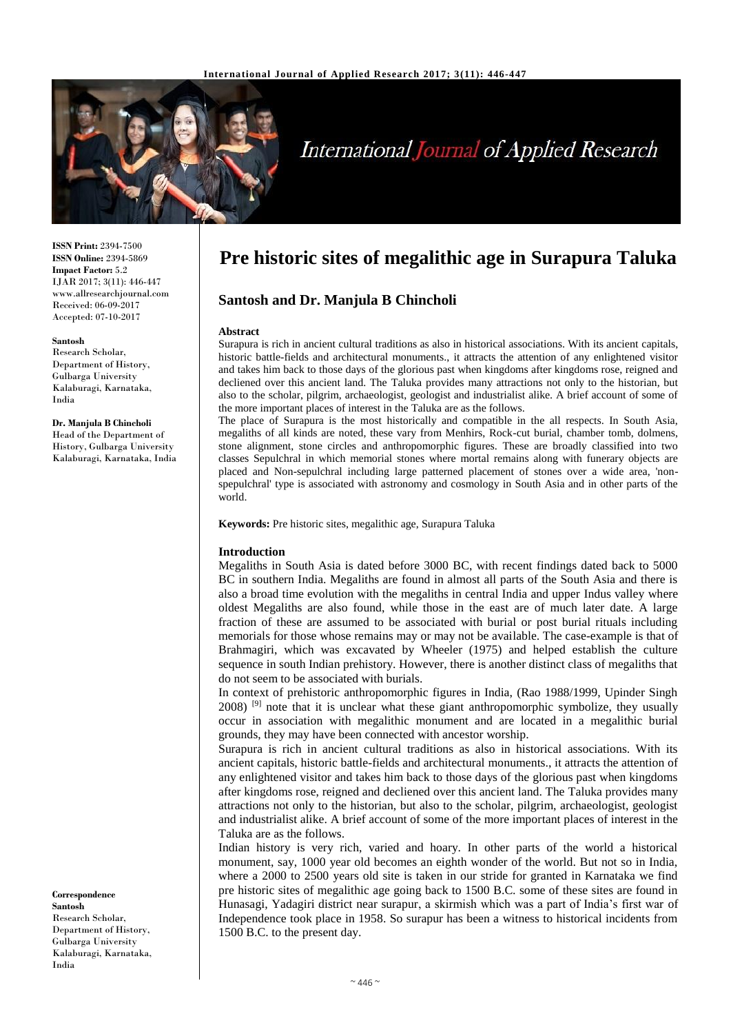

# **International Journal of Applied Research**

**ISSN Print:** 2394-7500 **ISSN Online:** 2394-5869 **Impact Factor:** 5.2 IJAR 2017; 3(11): 446-447 www.allresearchjournal.com Received: 06-09-2017 Accepted: 07-10-2017

#### **Santosh**

Research Scholar, Department of History, Gulbarga University Kalaburagi, Karnataka, India

**Dr. Manjula B Chincholi** Head of the Department of History, Gulbarga University Kalaburagi, Karnataka, India

**Correspondence Santosh** Research Scholar, Department of History, Gulbarga University Kalaburagi, Karnataka, India

# **Pre historic sites of megalithic age in Surapura Taluka**

# **Santosh and Dr. Manjula B Chincholi**

#### **Abstract**

Surapura is rich in ancient cultural traditions as also in historical associations. With its ancient capitals, historic battle-fields and architectural monuments., it attracts the attention of any enlightened visitor and takes him back to those days of the glorious past when kingdoms after kingdoms rose, reigned and decliened over this ancient land. The Taluka provides many attractions not only to the historian, but also to the scholar, pilgrim, archaeologist, geologist and industrialist alike. A brief account of some of the more important places of interest in the Taluka are as the follows.

The place of Surapura is the most historically and compatible in the all respects. In South Asia, megaliths of all kinds are noted, these vary from Menhirs, Rock-cut burial, chamber tomb, dolmens, stone alignment, stone circles and anthropomorphic figures. These are broadly classified into two classes Sepulchral in which memorial stones where mortal remains along with funerary objects are placed and Non-sepulchral including large patterned placement of stones over a wide area, 'nonspepulchral' type is associated with astronomy and cosmology in South Asia and in other parts of the world.

**Keywords:** Pre historic sites, megalithic age, Surapura Taluka

#### **Introduction**

Megaliths in South Asia is dated before 3000 BC, with recent findings dated back to 5000 BC in southern India. Megaliths are found in almost all parts of the South Asia and there is also a broad time evolution with the megaliths in central India and upper Indus valley where oldest Megaliths are also found, while those in the east are of much later date. A large fraction of these are assumed to be associated with burial or post burial rituals including memorials for those whose remains may or may not be available. The case-example is that of Brahmagiri, which was excavated by Wheeler (1975) and helped establish the culture sequence in south Indian prehistory. However, there is another distinct class of megaliths that do not seem to be associated with burials.

In context of prehistoric anthropomorphic figures in India, (Rao 1988/1999, Upinder Singh  $2008$ ) <sup>[9]</sup> note that it is unclear what these giant anthropomorphic symbolize, they usually occur in association with megalithic monument and are located in a megalithic burial grounds, they may have been connected with ancestor worship.

Surapura is rich in ancient cultural traditions as also in historical associations. With its ancient capitals, historic battle-fields and architectural monuments., it attracts the attention of any enlightened visitor and takes him back to those days of the glorious past when kingdoms after kingdoms rose, reigned and decliened over this ancient land. The Taluka provides many attractions not only to the historian, but also to the scholar, pilgrim, archaeologist, geologist and industrialist alike. A brief account of some of the more important places of interest in the Taluka are as the follows.

Indian history is very rich, varied and hoary. In other parts of the world a historical monument, say, 1000 year old becomes an eighth wonder of the world. But not so in India, where a 2000 to 2500 years old site is taken in our stride for granted in Karnataka we find pre historic sites of megalithic age going back to 1500 B.C. some of these sites are found in Hunasagi, Yadagiri district near surapur, a skirmish which was a part of India's first war of Independence took place in 1958. So surapur has been a witness to historical incidents from 1500 B.C. to the present day.